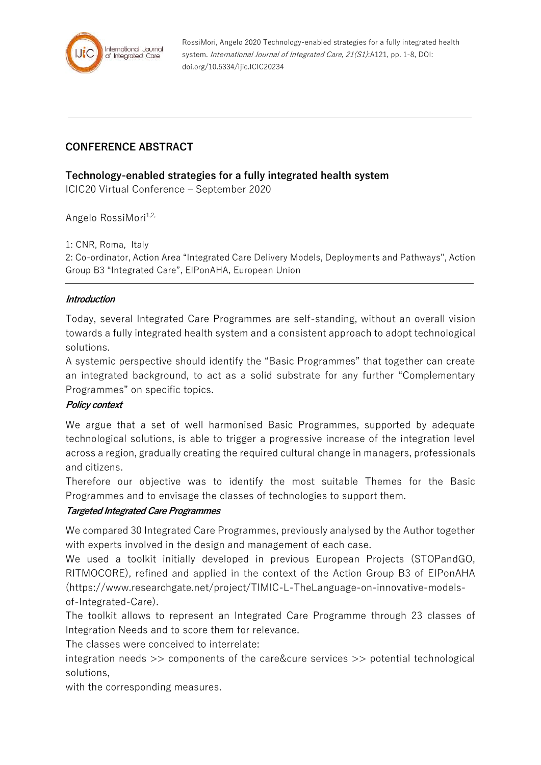

RossiMori, Angelo 2020 Technology-enabled strategies for a fully integrated health system. International Journal of Integrated Care, 21(S1):A121, pp. 1-8, DOI: doi.org/10.5334/ijic.ICIC20234

# **CONFERENCE ABSTRACT**

### **Technology-enabled strategies for a fully integrated health system**

ICIC20 Virtual Conference – September 2020

Angelo RossiMori<sup>1,2,</sup>

1: CNR, Roma, Italy

2: Co-ordinator, Action Area "Integrated Care Delivery Models, Deployments and Pathways", Action Group B3 "Integrated Care", EIPonAHA, European Union

#### **Introduction**

Today, several Integrated Care Programmes are self-standing, without an overall vision towards a fully integrated health system and a consistent approach to adopt technological solutions.

A systemic perspective should identify the "Basic Programmes" that together can create an integrated background, to act as a solid substrate for any further "Complementary Programmes" on specific topics.

#### **Policy context**

We argue that a set of well harmonised Basic Programmes, supported by adequate technological solutions, is able to trigger a progressive increase of the integration level across a region, gradually creating the required cultural change in managers, professionals and citizens.

Therefore our objective was to identify the most suitable Themes for the Basic Programmes and to envisage the classes of technologies to support them.

#### **Targeted Integrated Care Programmes**

We compared 30 Integrated Care Programmes, previously analysed by the Author together with experts involved in the design and management of each case.

We used a toolkit initially developed in previous European Projects (STOPandGO, RITMOCORE), refined and applied in the context of the Action Group B3 of EIPonAHA (https://www.researchgate.net/project/TIMIC-L-TheLanguage-on-innovative-modelsof-Integrated-Care).

The toolkit allows to represent an Integrated Care Programme through 23 classes of Integration Needs and to score them for relevance.

The classes were conceived to interrelate:

integration needs >> components of the care&cure services >> potential technological solutions,

with the corresponding measures.